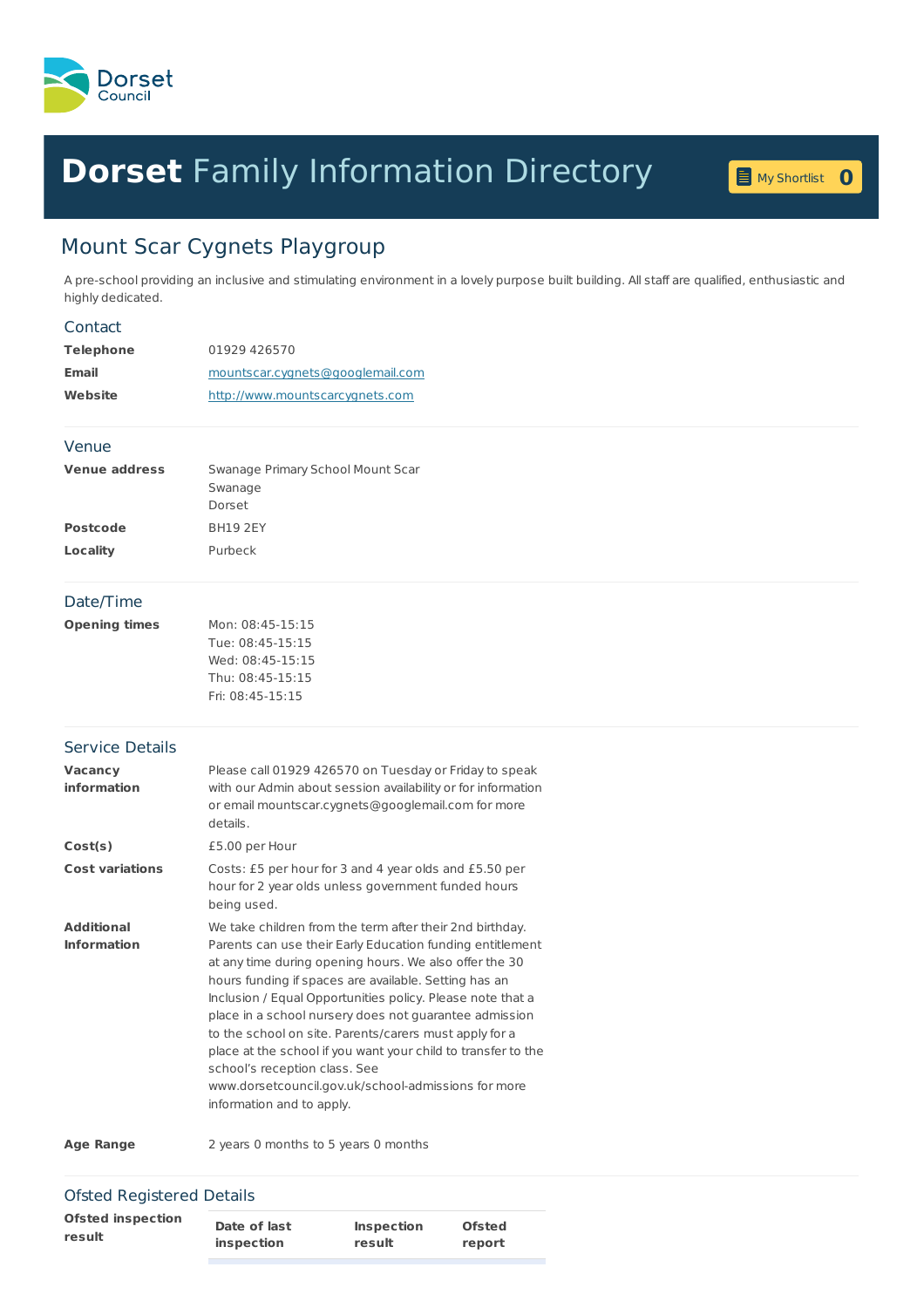

# **Dorset** Family [Information](home.page) Directory **<sup>0</sup>**



# Mount Scar Cygnets Playgroup

A pre-school providing an inclusive and stimulating environment in a lovely purpose built building. All staff are qualified, enthusiastic and highly dedicated.

#### **Contact**

| Telephone    | 01929 426570                     |
|--------------|----------------------------------|
| <b>Email</b> | mountscar.cygnets@googlemail.com |
| Website      | http://www.mountscarcygnets.com  |

#### Venue

| <b>Venue address</b> | Swanage Primary School Mount Scar |
|----------------------|-----------------------------------|
|                      | Swanage                           |
|                      | Dorset                            |
| <b>Postcode</b>      | <b>BH19 2FY</b>                   |
| Locality             | Purbeck                           |
|                      |                                   |

#### Date/Time

| Mon: 08:45-15:15 |  |  |
|------------------|--|--|
| Tue: 08:45-15:15 |  |  |
| Wed: 08:45-15:15 |  |  |
| Thu: 08:45-15:15 |  |  |
| Fri: 08:45-15:15 |  |  |
|                  |  |  |

# Service Details

| Vacancy<br>information                  | Please call 01929 426570 on Tuesday or Friday to speak<br>with our Admin about session availability or for information<br>or email mountscar.cygnets@googlemail.com for more<br>details.                                                                                                                                                                                                                                                                                                                                                                                                                         |  |
|-----------------------------------------|------------------------------------------------------------------------------------------------------------------------------------------------------------------------------------------------------------------------------------------------------------------------------------------------------------------------------------------------------------------------------------------------------------------------------------------------------------------------------------------------------------------------------------------------------------------------------------------------------------------|--|
| Cost(s)                                 | £5.00 per Hour                                                                                                                                                                                                                                                                                                                                                                                                                                                                                                                                                                                                   |  |
| <b>Cost variations</b>                  | Costs: £5 per hour for 3 and 4 year olds and £5.50 per<br>hour for 2 year olds unless government funded hours<br>being used.                                                                                                                                                                                                                                                                                                                                                                                                                                                                                     |  |
| <b>Additional</b><br><b>Information</b> | We take children from the term after their 2nd birthday.<br>Parents can use their Early Education funding entitlement<br>at any time during opening hours. We also offer the 30<br>hours funding if spaces are available. Setting has an<br>Inclusion / Equal Opportunities policy. Please note that a<br>place in a school nursery does not quarantee admission<br>to the school on site. Parents/carers must apply for a<br>place at the school if you want your child to transfer to the<br>school's reception class. See<br>www.dorsetcouncil.gov.uk/school-admissions for more<br>information and to apply. |  |
|                                         | 2006 - 2006 - 2007 - 2008 - 2008 - 2008 - 2008 - 2010 - 2010 - 2010 - 2010 - 2010 - 2010 - 2010 - 2010 - 2010                                                                                                                                                                                                                                                                                                                                                                                                                                                                                                    |  |

**Age Range** 2 years 0 months to 5 years 0 months

### Ofsted Registered Details

| <b>Ofsted inspection</b><br>Date of last<br><b>Ofsted</b><br><b>Inspection</b><br>result<br>inspection<br>result<br>report |  |
|----------------------------------------------------------------------------------------------------------------------------|--|
|----------------------------------------------------------------------------------------------------------------------------|--|